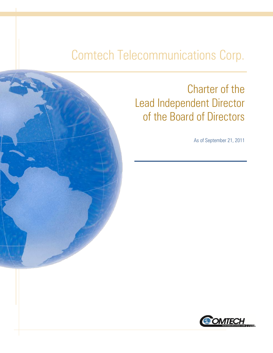# Comtech Telecommunications Corp.



## Charter of the Lead Independent Director of the Board of Directors

As of September 21, 2011